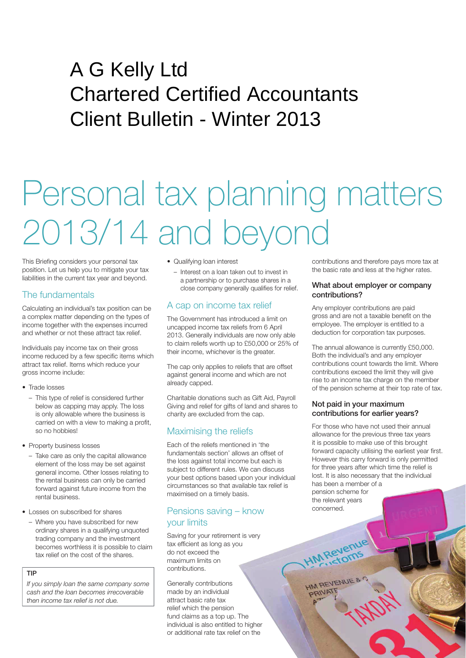# A G Kelly Ltd Chartered Certified Accountants Client Bulletin - Winter 2013

# Personal tax planning matters 2013/14 and beyond

This Briefing considers your personal tax position. Let us help you to mitigate your tax liabilities in the current tax year and beyond.

# The fundamentals

Calculating an individual's tax position can be a complex matter depending on the types of income together with the expenses incurred and whether or not these attract tax relief.

Individuals pay income tax on their gross income reduced by a few specific items which attract tax relief. Items which reduce your gross income include:

- Trade losses
	- This type of relief is considered further below as capping may apply. The loss is only allowable where the business is carried on with a view to making a profit, so no hobbies!
- Property business losses
	- Take care as only the capital allowance element of the loss may be set against general income. Other losses relating to the rental business can only be carried forward against future income from the rental business.
- Losses on subscribed for shares
	- Where you have subscribed for new ordinary shares in a qualifying unquoted trading company and the investment becomes worthless it is possible to claim tax relief on the cost of the shares.
	- TIP

*If you simply loan the same company some cash and the loan becomes irrecoverable then income tax relief is not due.*

#### • Qualifying loan interest

– Interest on a loan taken out to invest in a partnership or to purchase shares in a close company generally qualifies for relief.

# A cap on income tax relief

The Government has introduced a limit on uncapped income tax reliefs from 6 April 2013. Generally individuals are now only able to claim reliefs worth up to £50,000 or 25% of their income, whichever is the greater.

The cap only applies to reliefs that are offset against general income and which are not already capped.

Charitable donations such as Gift Aid, Payroll Giving and relief for gifts of land and shares to charity are excluded from the cap.

# Maximising the reliefs

Each of the reliefs mentioned in 'the fundamentals section' allows an offset of the loss against total income but each is subject to different rules. We can discuss your best options based upon your individual circumstances so that available tax relief is maximised on a timely basis.

### Pensions saving – know your limits

Saving for your retirement is very tax efficient as long as you do not exceed the maximum limits on contributions.

Generally contributions made by an individual attract basic rate tax relief which the pension fund claims as a top up. The individual is also entitled to higher or additional rate tax relief on the

contributions and therefore pays more tax at the basic rate and less at the higher rates.

#### What about employer or company contributions?

Any employer contributions are paid gross and are not a taxable benefit on the employee. The employer is entitled to a deduction for corporation tax purposes.

The annual allowance is currently £50,000. Both the individual's and any employer contributions count towards the limit. Where contributions exceed the limit they will give rise to an income tax charge on the member of the pension scheme at their top rate of tax.

#### Not paid in your maximum contributions for earlier years?

For those who have not used their annual allowance for the previous three tax years it is possible to make use of this brought forward capacity utilising the earliest year first. However this carry forward is only permitted for three years after which time the relief is lost. It is also necessary that the individual has been a member of a pension scheme for

the relevant years concerned.

**HM Revenue** 

HM REVENUE & **PRIVATE**